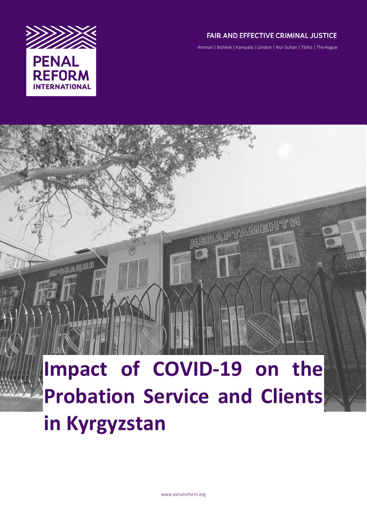

**MPOBALINE** 

# **FAIR AND EFFECTIVE CRIMINAL JUSTICE**

Amman | Bishkek | Kampala | London | Nur-Sultan | Tbilisi | The Hague

**ALEINALPTANMENTIN** 

# Impact of COVID-19 on the **Probation Service and Clients in Kyrgyzstan**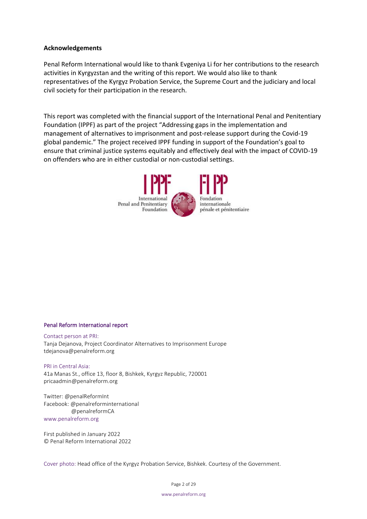#### **Acknowledgements**

Penal Reform International would like to thank Evgeniya Li for her contributions to the research activities in Kyrgyzstan and the writing of this report. We would also like to thank representatives of the Kyrgyz Probation Service, the Supreme Court and the judiciary and local civil society for their participation in the research.

This report was completed with the financial support of the International Penal and Penitentiary Foundation (IPPF) as part of the project "Addressing gaps in the implementation and management of alternatives to imprisonment and post-release support during the Covid-19 global pandemic." The project received IPPF funding in support of the Foundation's goal to ensure that criminal justice systems equitably and effectively deal with the impact of COVID-19 on offenders who are in either custodial or non-custodial settings.



#### Penal Reform International report

Contact person at PRI: Tanja Dejanova, Project Coordinator Alternatives to Imprisonment Europe tdejanova@penalreform.org

PRI in Central Asia: 41a Manas St., office 13, floor 8, Bishkek, Kyrgyz Republic, 720001 pricaadmin@penalreform.org

Twitter: @penalReformInt Facebook: @penalreforminternational @penalreformCA www.penalreform.org

First published in January 2022 © Penal Reform International 2022

Cover photo: Head office of the Kyrgyz Probation Service, Bishkek. Courtesy of the Government.

Page 2 of 29

www.penalreform.org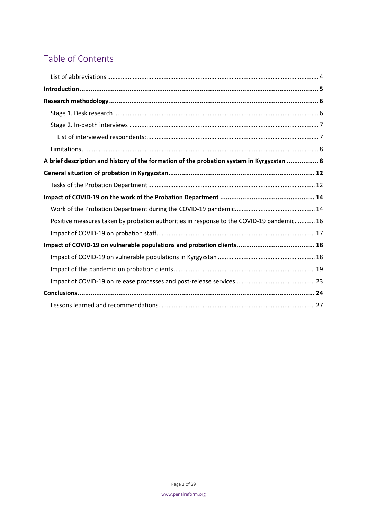# Table of Contents

| A brief description and history of the formation of the probation system in Kyrgyzstan  8 |
|-------------------------------------------------------------------------------------------|
|                                                                                           |
|                                                                                           |
|                                                                                           |
|                                                                                           |
| Positive measures taken by probation authorities in response to the COVID-19 pandemic 16  |
|                                                                                           |
|                                                                                           |
|                                                                                           |
|                                                                                           |
|                                                                                           |
|                                                                                           |
|                                                                                           |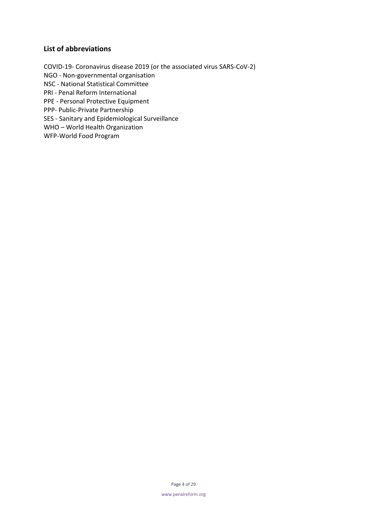# <span id="page-3-0"></span>**List of abbreviations**

COVID-19- Coronavirus disease 2019 (or the associated virus SARS-CoV-2) NGO - Non-governmental organisation NSC - National Statistical Committee PRI - Penal Reform International PPE - Personal Protective Equipment PPP- Public-Private Partnership SES - Sanitary and Epidemiological Surveillance WHO – World Health Organization WFP-World Food Program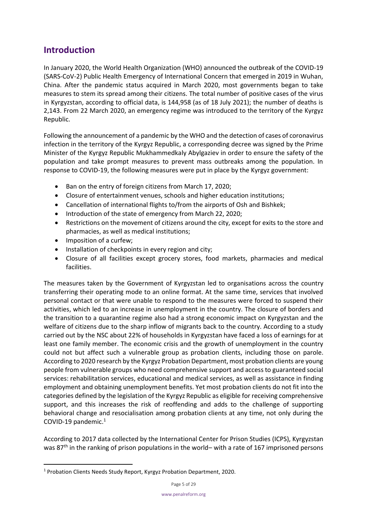# <span id="page-4-0"></span>**Introduction**

In January 2020, the World Health Organization (WHO) announced the outbreak of the COVID-19 (SARS-CoV-2) Public Health Emergency of International Concern that emerged in 2019 in Wuhan, China. After the pandemic status acquired in March 2020, most governments began to take measures to stem its spread among their citizens. The total number of positive cases of the virus in Kyrgyzstan, according to official data, is 144,958 (as of 18 July 2021); the number of deaths is 2,143. From 22 March 2020, an emergency regime was introduced to the territory of the Kyrgyz Republic.

Following the announcement of a pandemic by the WHO and the detection of cases of coronavirus infection in the territory of the Kyrgyz Republic, a corresponding decree was signed by the Prime Minister of the Kyrgyz Republic Mukhammedkaly Abylgaziev in order to ensure the safety of the population and take prompt measures to prevent mass outbreaks among the population. In response to COVID-19, the following measures were put in place by the Kyrgyz government:

- Ban on the entry of foreign citizens from March 17, 2020;
- Closure of entertainment venues, schools and higher education institutions;
- Cancellation of international flights to/from the airports of Osh and Bishkek;
- Introduction of the state of emergency from March 22, 2020;
- Restrictions on the movement of citizens around the city, except for exits to the store and pharmacies, as well as medical institutions;
- Imposition of a curfew;
- Installation of checkpoints in every region and city;
- Closure of all facilities except grocery stores, food markets, pharmacies and medical facilities.

The measures taken by the Government of Kyrgyzstan led to organisations across the country transferring their operating mode to an online format. At the same time, services that involved personal contact or that were unable to respond to the measures were forced to suspend their activities, which led to an increase in unemployment in the country. The closure of borders and the transition to a quarantine regime also had a strong economic impact on Kyrgyzstan and the welfare of citizens due to the sharp inflow of migrants back to the country. According to a study carried out by the NSC about 22% of households in Kyrgyzstan have faced a loss of earnings for at least one family member. The economic crisis and the growth of unemployment in the country could not but affect such a vulnerable group as probation clients, including those on parole. According to 2020 research by the Kyrgyz Probation Department, most probation clients are young people from vulnerable groups who need comprehensive support and access to guaranteed social services: rehabilitation services, educational and medical services, as well as assistance in finding employment and obtaining unemployment benefits. Yet most probation clients do not fit into the categories defined by the legislation of the Kyrgyz Republic as eligible for receiving comprehensive support, and this increases the risk of reoffending and adds to the challenge of supporting behavioral change and resocialisation among probation clients at any time, not only during the COVID-19 pandemic. $1$ 

According to 2017 data collected by the International Center for Prison Studies (ICPS), Kyrgyzstan was 87<sup>th</sup> in the ranking of prison populations in the world– with a rate of 167 imprisoned persons

<sup>1</sup> Probation Clients Needs Study Report, Kyrgyz Probation Department, 2020.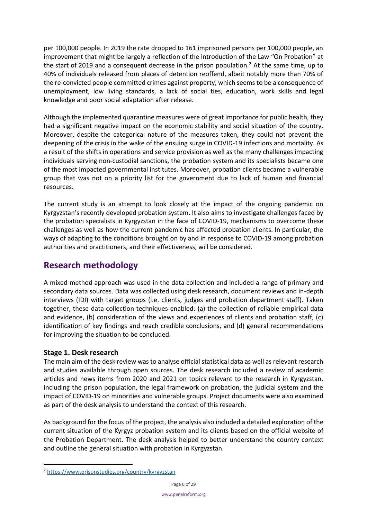per 100,000 people. In 2019 the rate dropped to 161 imprisoned persons per 100,000 people, an improvement that might be largely a reflection of the introduction of the Law "On Probation" at the start of 2019 and a consequent decrease in the prison population.<sup>2</sup> At the same time, up to 40% of individuals released from places of detention reoffend, albeit notably more than 70% of the re-convicted people committed crimes against property, which seems to be a consequence of unemployment, low living standards, a lack of social ties, education, work skills and legal knowledge and poor social adaptation after release.

Although the implemented quarantine measures were of great importance for public health, they had a significant negative impact on the economic stability and social situation of the country. Moreover, despite the categorical nature of the measures taken, they could not prevent the deepening of the crisis in the wake of the ensuing surge in COVID-19 infections and mortality. As a result of the shifts in operations and service provision as well as the many challenges impacting individuals serving non-custodial sanctions, the probation system and its specialists became one of the most impacted governmental institutes. Moreover, probation clients became a vulnerable group that was not on a priority list for the government due to lack of human and financial resources.

The current study is an attempt to look closely at the impact of the ongoing pandemic on Kyrgyzstan's recently developed probation system. It also aims to investigate challenges faced by the probation specialists in Kyrgyzstan in the face of COVID-19, mechanisms to overcome these challenges as well as how the current pandemic has affected probation clients. In particular, the ways of adapting to the conditions brought on by and in response to COVID-19 among probation authorities and practitioners, and their effectiveness, will be considered.

# <span id="page-5-0"></span>**Research methodology**

A mixed-method approach was used in the data collection and included a range of primary and secondary data sources. Data was collected using desk research, document reviews and in-depth interviews (IDI) with target groups (i.e. clients, judges and probation department staff). Taken together, these data collection techniques enabled: (a) the collection of reliable empirical data and evidence, (b) consideration of the views and experiences of clients and probation staff, (c) identification of key findings and reach credible conclusions, and (d) general recommendations for improving the situation to be concluded.

# <span id="page-5-1"></span>**Stage 1. Desk research**

The main aim of the desk review was to analyse official statistical data as well as relevant research and studies available through open sources. The desk research included a review of academic articles and news items from 2020 and 2021 on topics relevant to the research in Kyrgyzstan, including the prison population, the legal framework on probation, the judicial system and the impact of COVID-19 on minorities and vulnerable groups. Project documents were also examined as part of the desk analysis to understand the context of this research.

As background for the focus of the project, the analysis also included a detailed exploration of the current situation of the Kyrgyz probation system and its clients based on the official website of the Probation Department. The desk analysis helped to better understand the country context and outline the general situation with probation in Kyrgyzstan.

<sup>2</sup> <https://www.prisonstudies.org/country/kyrgyzstan>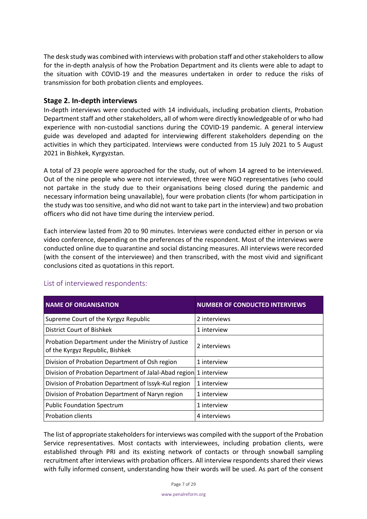The desk study was combined with interviews with probation staff and other stakeholders to allow for the in-depth analysis of how the Probation Department and its clients were able to adapt to the situation with COVID-19 and the measures undertaken in order to reduce the risks of transmission for both probation clients and employees.

# <span id="page-6-0"></span>**Stage 2. In-depth interviews**

In-depth interviews were conducted with 14 individuals, including probation clients, Probation Department staff and other stakeholders, all of whom were directly knowledgeable of or who had experience with non-custodial sanctions during the COVID-19 pandemic. A general interview guide was developed and adapted for interviewing different stakeholders depending on the activities in which they participated. Interviews were conducted from 15 July 2021 to 5 August 2021 in Bishkek, Kyrgyzstan.

A total of 23 people were approached for the study, out of whom 14 agreed to be interviewed. Out of the nine people who were not interviewed, three were NGO representatives (who could not partake in the study due to their organisations being closed during the pandemic and necessary information being unavailable), four were probation clients (for whom participation in the study was too sensitive, and who did not want to take part in the interview) and two probation officers who did not have time during the interview period.

Each interview lasted from 20 to 90 minutes. Interviews were conducted either in person or via video conference, depending on the preferences of the respondent. Most of the interviews were conducted online due to quarantine and social distancing measures. All interviews were recorded (with the consent of the interviewee) and then transcribed, with the most vivid and significant conclusions cited as quotations in this report.

| <b>NAME OF ORGANISATION</b>                                                           | <b>NUMBER OF CONDUCTED INTERVIEWS</b> |
|---------------------------------------------------------------------------------------|---------------------------------------|
| Supreme Court of the Kyrgyz Republic                                                  | 2 interviews                          |
| District Court of Bishkek                                                             | 1 interview                           |
| Probation Department under the Ministry of Justice<br>of the Kyrgyz Republic, Bishkek | 2 interviews                          |
| Division of Probation Department of Osh region                                        | 1 interview                           |
| Division of Probation Department of Jalal-Abad region 1 interview                     |                                       |
| Division of Probation Department of Issyk-Kul region                                  | 1 interview                           |
| Division of Probation Department of Naryn region                                      | 1 interview                           |
| <b>Public Foundation Spectrum</b>                                                     | 1 interview                           |
| <b>Probation clients</b>                                                              | 4 interviews                          |

# <span id="page-6-1"></span>List of interviewed respondents:

The list of appropriate stakeholders for interviews was compiled with the support of the Probation Service representatives. Most contacts with interviewees, including probation clients, were established through PRI and its existing network of contacts or through snowball sampling recruitment after interviews with probation officers. All interview respondents shared their views with fully informed consent, understanding how their words will be used. As part of the consent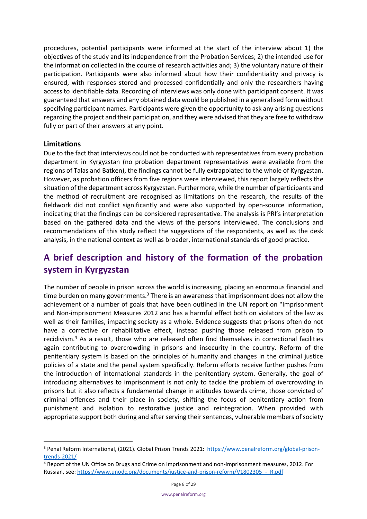procedures, potential participants were informed at the start of the interview about 1) the objectives of the study and its independence from the Probation Services; 2) the intended use for the information collected in the course of research activities and; 3) the voluntary nature of their participation. Participants were also informed about how their confidentiality and privacy is ensured, with responses stored and processed confidentially and only the researchers having access to identifiable data. Recording of interviews was only done with participant consent. It was guaranteed that answers and any obtained data would be published in a generalised form without specifying participant names. Participants were given the opportunity to ask any arising questions regarding the project and their participation, and they were advised that they are free to withdraw fully or part of their answers at any point.

# <span id="page-7-0"></span>**Limitations**

Due to the fact that interviews could not be conducted with representatives from every probation department in Kyrgyzstan (no probation department representatives were available from the regions of Talas and Batken), the findings cannot be fully extrapolated to the whole of Kyrgyzstan. However, as probation officers from five regions were interviewed, this report largely reflects the situation of the department across Kyrgyzstan. Furthermore, while the number of participants and the method of recruitment are recognised as limitations on the research, the results of the fieldwork did not conflict significantly and were also supported by open-source information, indicating that the findings can be considered representative. The analysis is PRI's interpretation based on the gathered data and the views of the persons interviewed. The conclusions and recommendations of this study reflect the suggestions of the respondents, as well as the desk analysis, in the national context as well as broader, international standards of good practice.

# <span id="page-7-1"></span>**A brief description and history of the formation of the probation system in Kyrgyzstan**

The number of people in prison across the world is increasing, placing an enormous financial and time burden on many governments. $3$  There is an awareness that imprisonment does not allow the achievement of a number of goals that have been outlined in the UN report on "Imprisonment and Non-imprisonment Measures 2012 and has a harmful effect both on violators of the law as well as their families, impacting society as a whole. Evidence suggests that prisons often do not have a corrective or rehabilitative effect, instead pushing those released from prison to recidivism.<sup>4</sup> As a result, those who are released often find themselves in correctional facilities again contributing to overcrowding in prisons and insecurity in the country. Reform of the penitentiary system is based on the principles of humanity and changes in the criminal justice policies of a state and the penal system specifically. Reform efforts receive further pushes from the introduction of international standards in the penitentiary system. Generally, the goal of introducing alternatives to imprisonment is not only to tackle the problem of overcrowding in prisons but it also reflects a fundamental change in attitudes towards crime, those convicted of criminal offences and their place in society, shifting the focus of penitentiary action from punishment and isolation to restorative justice and reintegration. When provided with appropriate support both during and after serving their sentences, vulnerable members of society

<sup>&</sup>lt;sup>3</sup> Penal Reform International, (2021). Global Prison Trends 2021: [https://www.penalreform.org/global-prison](https://www.penalreform.org/global-prison-trends-2021/)[trends-2021/](https://www.penalreform.org/global-prison-trends-2021/)

<sup>4</sup> Report of the UN Office on Drugs and Crime on imprisonment and non-imprisonment measures, 2012. For Russian, see: https://www.unodc.org/documents/justice-and-prison-reform/V1802305 - R.pdf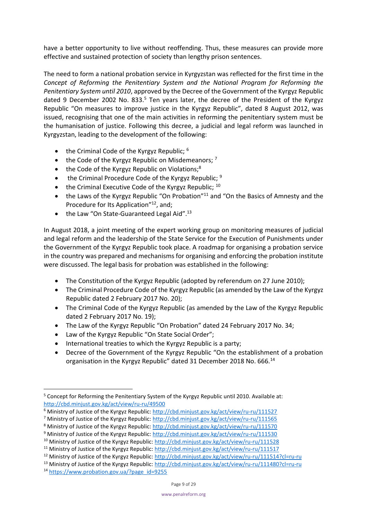have a better opportunity to live without reoffending. Thus, these measures can provide more effective and sustained protection of society than lengthy prison sentences.

The need to form a national probation service in Kyrgyzstan was reflected for the first time in the *Concept of Reforming the Penitentiary System and the National Program for Reforming the Penitentiary System until 2010*, approved by the Decree of the Government of the Kyrgyz Republic dated 9 December 2002 No. 833. $<sup>5</sup>$  Ten years later, the decree of the President of the Kyrgyz</sup> Republic "On measures to improve justice in the Kyrgyz Republic", dated 8 August 2012, was issued, recognising that one of the main activities in reforming the penitentiary system must be the humanisation of justice. Following this decree, a judicial and legal reform was launched in Kyrgyzstan, leading to the development of the following:

- the Criminal Code of the Kyrgyz Republic;  $6$
- the Code of the Kyrgyz Republic on Misdemeanors;  $^7$
- $\bullet$  the Code of the Kyrgyz Republic on Violations;<sup>8</sup>
- the Criminal Procedure Code of the Kyrgyz Republic; <sup>9</sup>
- the Criminal Executive Code of the Kyrgyz Republic;  $10$
- the Laws of the Kyrgyz Republic "On Probation"<sup>11</sup> and "On the Basics of Amnesty and the Procedure for Its Application"<sup>12</sup>, and;
- the Law "On State-Guaranteed Legal Aid". $^{13}$

In August 2018, a joint meeting of the expert working group on monitoring measures of judicial and legal reform and the leadership of the State Service for the Execution of Punishments under the Government of the Kyrgyz Republic took place. A roadmap for organising a probation service in the country was prepared and mechanisms for organising and enforcing the probation institute were discussed. The legal basis for probation was established in the following:

- The Constitution of the Kyrgyz Republic (adopted by referendum on 27 June 2010);
- The Criminal Procedure Code of the Kyrgyz Republic (as amended by the Law of the Kyrgyz Republic dated 2 February 2017 No. 20);
- The Criminal Code of the Kyrgyz Republic (as amended by the Law of the Kyrgyz Republic dated 2 February 2017 No. 19);
- The Law of the Kyrgyz Republic "On Probation" dated 24 February 2017 No. 34;
- Law of the Kyrgyz Republic "On State Social Order";
- International treaties to which the Kyrgyz Republic is a party;
- Decree of the Government of the Kyrgyz Republic "On the establishment of a probation organisation in the Kyrgyz Republic" dated 31 December 2018 No. 666.<sup>14</sup>

<sup>5</sup> Concept for Reforming the Penitentiary System of the Kyrgyz Republic until 2010. Available at: <http://cbd.minjust.gov.kg/act/view/ru-ru/49500>

<sup>&</sup>lt;sup>6</sup> Ministry of Justice of the Kyrgyz Republic[: http://cbd.minjust.gov.kg/act/view/ru-ru/111527](http://cbd.minjust.gov.kg/act/view/ru-ru/111527)

<sup>&</sup>lt;sup>7</sup> Ministry of Justice of the Kyrgyz Republic[: http://cbd.minjust.gov.kg/act/view/ru-ru/111565](http://cbd.minjust.gov.kg/act/view/ru-ru/111565)

<sup>&</sup>lt;sup>8</sup> Ministry of Justice of the Kyrgyz Republic[: http://cbd.minjust.gov.kg/act/view/ru-ru/111570](http://cbd.minjust.gov.kg/act/view/ru-ru/111570)

<sup>&</sup>lt;sup>9</sup> Ministry of Justice of the Kyrgyz Republic[: http://cbd.minjust.gov.kg/act/view/ru-ru/111530](http://cbd.minjust.gov.kg/act/view/ru-ru/111530)

<sup>&</sup>lt;sup>10</sup> Ministry of Justice of the Kyrgyz Republic[: http://cbd.minjust.gov.kg/act/view/ru-ru/111528](http://cbd.minjust.gov.kg/act/view/ru-ru/111528)

<sup>&</sup>lt;sup>11</sup> Ministry of Justice of the Kyrgyz Republic[: http://cbd.minjust.gov.kg/act/view/ru-ru/111517](http://cbd.minjust.gov.kg/act/view/ru-ru/111517)

<sup>&</sup>lt;sup>12</sup> Ministry of Justice of the Kyrgyz Republic[: http://cbd.minjust.gov.kg/act/view/ru-ru/111514?cl=ru-ru](http://cbd.minjust.gov.kg/act/view/ru-ru/111514?cl=ru-ru)

<sup>&</sup>lt;sup>13</sup> Ministry of Justice of the Kyrgyz Republic[: http://cbd.minjust.gov.kg/act/view/ru-ru/111480?cl=ru-ru](http://cbd.minjust.gov.kg/act/view/ru-ru/111480?cl=ru-ru)

<sup>14</sup> [https://www.probation.gov.ua/?page\\_id=9255](https://www.probation.gov.ua/?page_id=9255)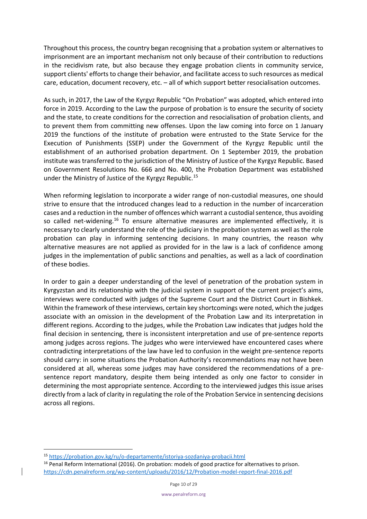Throughout this process, the country began recognising that a probation system or alternatives to imprisonment are an important mechanism not only because of their contribution to reductions in the recidivism rate, but also because they engage probation clients in community service, support clients' efforts to change their behavior, and facilitate access to such resources as medical care, education, document recovery, etc. – all of which support better resocialisation outcomes.

As such, in 2017, the Law of the Kyrgyz Republic "On Probation" was adopted, which entered into force in 2019. According to the Law the purpose of probation is to ensure the security of society and the state, to create conditions for the correction and resocialisation of probation clients, and to prevent them from committing new offenses. Upon the law coming into force on 1 January 2019 the functions of the institute of probation were entrusted to the State Service for the Execution of Punishments (SSEP) under the Government of the Kyrgyz Republic until the establishment of an authorised probation department. On 1 September 2019, the probation institute was transferred to the jurisdiction of the Ministry of Justice of the Kyrgyz Republic. Based on Government Resolutions No. 666 and No. 400, the Probation Department was established under the Ministry of Justice of the Kyrgyz Republic.<sup>15</sup>

When reforming legislation to incorporate a wider range of non-custodial measures, one should strive to ensure that the introduced changes lead to a reduction in the number of incarceration cases and a reduction in the number of offences which warrant a custodial sentence, thus avoiding so called net-widening.<sup>16</sup> To ensure alternative measures are implemented effectively, it is necessary to clearly understand the role of the judiciary in the probation system as well as the role probation can play in informing sentencing decisions. In many countries, the reason why alternative measures are not applied as provided for in the law is a lack of confidence among judges in the implementation of public sanctions and penalties, as well as a lack of coordination of these bodies.

In order to gain a deeper understanding of the level of penetration of the probation system in Kyrgyzstan and its relationship with the judicial system in support of the current project's aims, interviews were conducted with judges of the Supreme Court and the District Court in Bishkek. Within the framework of these interviews, certain key shortcomings were noted, which the judges associate with an omission in the development of the Probation Law and its interpretation in different regions. According to the judges, while the Probation Law indicates that judges hold the final decision in sentencing, there is inconsistent interpretation and use of pre-sentence reports among judges across regions. The judges who were interviewed have encountered cases where contradicting interpretations of the law have led to confusion in the weight pre-sentence reports should carry: in some situations the Probation Authority's recommendations may not have been considered at all, whereas some judges may have considered the recommendations of a presentence report mandatory, despite them being intended as only one factor to consider in determining the most appropriate sentence. According to the interviewed judges this issue arises directly from a lack of clarity in regulating the role of the Probation Service in sentencing decisions across all regions.

<sup>15</sup> <https://probation.gov.kg/ru/o-departamente/istoriya-sozdaniya-probacii.html>

<sup>&</sup>lt;sup>16</sup> Penal Reform International (2016). On probation: models of good practice for alternatives to prison. <https://cdn.penalreform.org/wp-content/uploads/2016/12/Probation-model-report-final-2016.pdf>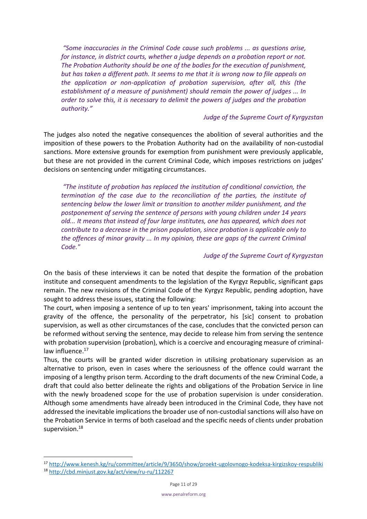*"Some inaccuracies in the Criminal Code cause such problems ... as questions arise, for instance, in district courts, whether a judge depends on a probation report or not. The Probation Authority should be one of the bodies for the execution of punishment, but has taken a different path. It seems to me that it is wrong now to file appeals on the application or non-application of probation supervision, after all, this (the establishment of a measure of punishment) should remain the power of judges ... In order to solve this, it is necessary to delimit the powers of judges and the probation authority."*

## *Judge of the Supreme Court of Kyrgyzstan*

The judges also noted the negative consequences the abolition of several authorities and the imposition of these powers to the Probation Authority had on the availability of non-custodial sanctions. More extensive grounds for exemption from punishment were previously applicable, but these are not provided in the current Criminal Code, which imposes restrictions on judges' decisions on sentencing under mitigating circumstances.

*"The institute of probation has replaced the institution of conditional conviction, the termination of the case due to the reconciliation of the parties, the institute of sentencing below the lower limit or transition to another milder punishment, and the postponement of serving the sentence of persons with young children under 14 years old... It means that instead of four large institutes, one has appeared, which does not contribute to a decrease in the prison population, since probation is applicable only to the offences of minor gravity ... In my opinion, these are gaps of the current Criminal Code."*

## *Judge of the Supreme Court of Kyrgyzstan*

On the basis of these interviews it can be noted that despite the formation of the probation institute and consequent amendments to the legislation of the Kyrgyz Republic, significant gaps remain. The new revisions of the Criminal Code of the Kyrgyz Republic, pending adoption, have sought to address these issues, stating the following:

The court, when imposing a sentence of up to ten years' imprisonment, taking into account the gravity of the offence, the personality of the perpetrator, his [sic] consent to probation supervision, as well as other circumstances of the case, concludes that the convicted person can be reformed without serving the sentence, may decide to release him from serving the sentence with probation supervision (probation), which is a coercive and encouraging measure of criminallaw influence.<sup>17</sup>

Thus, the courts will be granted wider discretion in utilising probationary supervision as an alternative to prison, even in cases where the seriousness of the offence could warrant the imposing of a lengthy prison term. According to the draft documents of the new Criminal Code, a draft that could also better delineate the rights and obligations of the Probation Service in line with the newly broadened scope for the use of probation supervision is under consideration. Although some amendments have already been introduced in the Criminal Code, they have not addressed the inevitable implications the broader use of non-custodial sanctions will also have on the Probation Service in terms of both caseload and the specific needs of clients under probation supervision.<sup>18</sup>

<span id="page-10-0"></span><sup>17</sup> <http://www.kenesh.kg/ru/committee/article/9/3650/show/proekt-ugolovnogo-kodeksa-kirgizskoy-respubliki>

<sup>18</sup> <http://cbd.minjust.gov.kg/act/view/ru-ru/112267>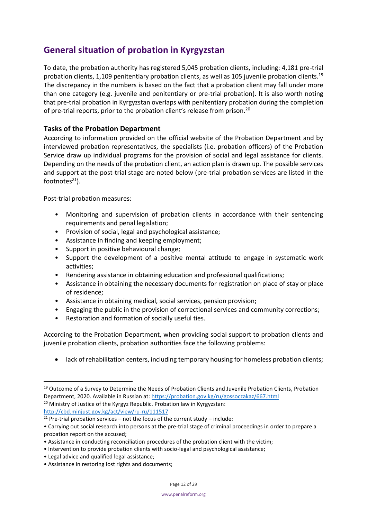# **General situation of probation in Kyrgyzstan**

To date, the probation authority has registered 5,045 probation clients, including: 4,181 pre-trial probation clients, 1,109 penitentiary probation clients, as well as 105 juvenile probation clients.<sup>19</sup> The discrepancy in the numbers is based on the fact that a probation client may fall under more than one category (e.g. juvenile and penitentiary or pre-trial probation). It is also worth noting that pre-trial probation in Kyrgyzstan overlaps with penitentiary probation during the completion of pre-trial reports, prior to the probation client's release from prison.<sup>20</sup>

# <span id="page-11-0"></span>**Tasks of the Probation Department**

According to information provided on the official website of the Probation Department and by interviewed probation representatives, the specialists (i.e. probation officers) of the Probation Service draw up individual programs for the provision of social and legal assistance for clients. Depending on the needs of the probation client, an action plan is drawn up. The possible services and support at the post-trial stage are noted below (pre-trial probation services are listed in the footnotes*<sup>21</sup>*).

Post-trial probation measures:

- Monitoring and supervision of probation clients in accordance with their sentencing requirements and penal legislation;
- Provision of social, legal and psychological assistance;
- Assistance in finding and keeping employment;
- Support in positive behavioural change;
- Support the development of a positive mental attitude to engage in systematic work activities;
- Rendering assistance in obtaining education and professional qualifications;
- Assistance in obtaining the necessary documents for registration on place of stay or place of residence;
- Assistance in obtaining medical, social services, pension provision;
- Engaging the public in the provision of correctional services and community corrections;
- Restoration and formation of socially useful ties.

According to the Probation Department, when providing social support to probation clients and juvenile probation clients, probation authorities face the following problems:

• lack of rehabilitation centers, including temporary housing for homeless probation clients;

<sup>&</sup>lt;sup>19</sup> Outcome of a Survey to Determine the Needs of Probation Clients and Juvenile Probation Clients, Probation Department, 2020. Available in Russian at[: https://probation.gov.kg/ru/gossoczakaz/667.html](https://probation.gov.kg/ru/gossoczakaz/667.html)  <sup>20</sup> Ministry of Justice of the Kyrgyz Republic. Probation law in Kyrgyzstan: <http://cbd.minjust.gov.kg/act/view/ru-ru/111517>

<sup>&</sup>lt;sup>21</sup> Pre-trial probation services – not the focus of the current study – include:

<sup>•</sup> Carrying out social research into persons at the pre-trial stage of criminal proceedings in order to prepare a probation report on the accused;

<sup>•</sup> Assistance in conducting reconciliation procedures of the probation client with the victim;

<sup>•</sup> Intervention to provide probation clients with socio-legal and psychological assistance;

<sup>•</sup> Legal advice and qualified legal assistance;

<sup>•</sup> Assistance in restoring lost rights and documents;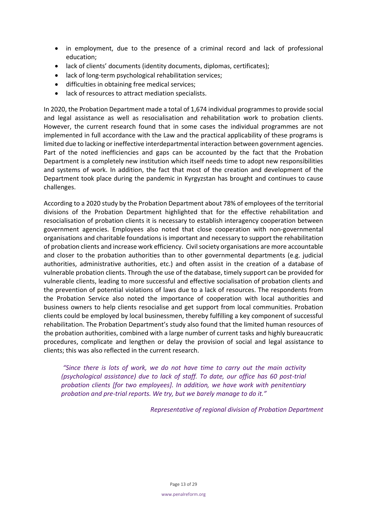- in employment, due to the presence of a criminal record and lack of professional education;
- lack of clients' documents (identity documents, diplomas, certificates);
- lack of long-term psychological rehabilitation services;
- difficulties in obtaining free medical services;
- lack of resources to attract mediation specialists.

In 2020, the Probation Department made a total of 1,674 individual programmes to provide social and legal assistance as well as resocialisation and rehabilitation work to probation clients. However, the current research found that in some cases the individual programmes are not implemented in full accordance with the Law and the practical applicability of these programs is limited due to lacking or ineffective interdepartmental interaction between government agencies. Part of the noted inefficiencies and gaps can be accounted by the fact that the Probation Department is a completely new institution which itself needs time to adopt new responsibilities and systems of work. In addition, the fact that most of the creation and development of the Department took place during the pandemic in Kyrgyzstan has brought and continues to cause challenges.

According to a 2020 study by the Probation Department about 78% of employees of the territorial divisions of the Probation Department highlighted that for the effective rehabilitation and resocialisation of probation clients it is necessary to establish interagency cooperation between government agencies. Employees also noted that close cooperation with non-governmental organisations and charitable foundations is important and necessary to support the rehabilitation of probation clients and increase work efficiency. Civil society organisations are more accountable and closer to the probation authorities than to other governmental departments (e.g. judicial authorities, administrative authorities, etc.) and often assist in the creation of a database of vulnerable probation clients. Through the use of the database, timely support can be provided for vulnerable clients, leading to more successful and effective socialisation of probation clients and the prevention of potential violations of laws due to a lack of resources. The respondents from the Probation Service also noted the importance of cooperation with local authorities and business owners to help clients resocialise and get support from local communities. Probation clients could be employed by local businessmen, thereby fulfilling a key component of successful rehabilitation. The Probation Department's study also found that the limited human resources of the probation authorities, combined with a large number of current tasks and highly bureaucratic procedures, complicate and lengthen or delay the provision of social and legal assistance to clients; this was also reflected in the current research.

<span id="page-12-0"></span>*"Since there is lots of work, we do not have time to carry out the main activity (psychological assistance) due to lack of staff. To date, our office has 60 post-trial probation clients [for two employees]. In addition, we have work with penitentiary probation and pre-trial reports. We try, but we barely manage to do it."*

*Representative of regional division of Probation Department*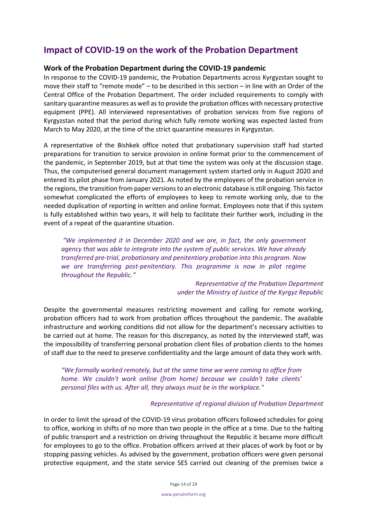# **Impact of COVID-19 on the work of the Probation Department**

# <span id="page-13-0"></span>**Work of the Probation Department during the COVID-19 pandemic**

In response to the COVID-19 pandemic, the Probation Departments across Kyrgyzstan sought to move their staff to "remote mode" – to be described in this section – in line with an Order of the Central Office of the Probation Department. The order included requirements to comply with sanitary quarantine measures as well as to provide the probation offices with necessary protective equipment (PPE). All interviewed representatives of probation services from five regions of Kyrgyzstan noted that the period during which fully remote working was expected lasted from March to May 2020, at the time of the strict quarantine measures in Kyrgyzstan.

A representative of the Bishkek office noted that probationary supervision staff had started preparations for transition to service provision in online format prior to the commencement of the pandemic, in September 2019, but at that time the system was only at the discussion stage. Thus, the computerised general document management system started only in August 2020 and entered its pilot phase from January 2021. As noted by the employees of the probation service in the regions, the transition from paper versions to an electronic database is still ongoing. This factor somewhat complicated the efforts of employees to keep to remote working only, due to the needed duplication of reporting in written and online format. Employees note that if this system is fully established within two years, it will help to facilitate their further work, including in the event of a repeat of the quarantine situation.

*"We implemented it in December 2020 and we are, in fact, the only government agency that was able to integrate into the system of public services. We have already transferred pre-trial, probationary and penitentiary probation into this program. Now we are transferring post-penitentiary. This programme is now in pilot regime throughout the Republic."*

> *Representative of the Probation Department under the Ministry of Justice of the Kyrgyz Republic*

Despite the governmental measures restricting movement and calling for remote working, probation officers had to work from probation offices throughout the pandemic. The available infrastructure and working conditions did not allow for the department's necessary activities to be carried out at home. The reason for this discrepancy, as noted by the interviewed staff, was the impossibility of transferring personal probation client files of probation clients to the homes of staff due to the need to preserve confidentiality and the large amount of data they work with.

*"We formally worked remotely, but at the same time we were coming to office from home. We couldn't work online (from home) because we couldn't take clients' personal files with us. After all, they always must be in the workplace."*

#### *Representative of regional division of Probation Department*

In order to limit the spread of the COVID-19 virus probation officers followed schedules for going to office, working in shifts of no more than two people in the office at a time. Due to the halting of public transport and a restriction on driving throughout the Republic it became more difficult for employees to go to the office. Probation officers arrived at their places of work by foot or by stopping passing vehicles. As advised by the government, probation officers were given personal protective equipment, and the state service SES carried out cleaning of the premises twice a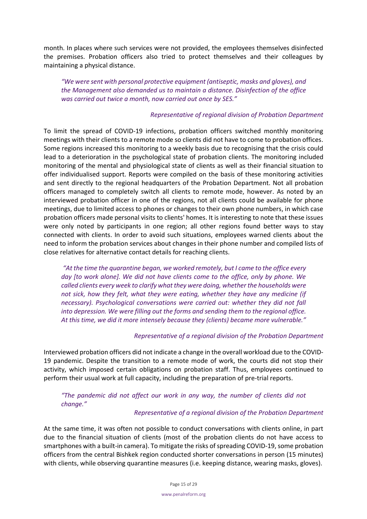month. In places where such services were not provided, the employees themselves disinfected the premises. Probation officers also tried to protect themselves and their colleagues by maintaining a physical distance.

*"We were sent with personal protective equipment (antiseptic, masks and gloves), and the Management also demanded us to maintain a distance. Disinfection of the office was carried out twice a month, now carried out once by SES."*

# *Representative of regional division of Probation Department*

To limit the spread of COVID-19 infections, probation officers switched monthly monitoring meetings with their clients to a remote mode so clients did not have to come to probation offices. Some regions increased this monitoring to a weekly basis due to recognising that the crisis could lead to a deterioration in the psychological state of probation clients. The monitoring included monitoring of the mental and physiological state of clients as well as their financial situation to offer individualised support. Reports were compiled on the basis of these monitoring activities and sent directly to the regional headquarters of the Probation Department. Not all probation officers managed to completely switch all clients to remote mode, however. As noted by an interviewed probation officer in one of the regions, not all clients could be available for phone meetings, due to limited access to phones or changes to their own phone numbers, in which case probation officers made personal visits to clients' homes. It is interesting to note that these issues were only noted by participants in one region; all other regions found better ways to stay connected with clients. In order to avoid such situations, employees warned clients about the need to inform the probation services about changes in their phone number and compiled lists of close relatives for alternative contact details for reaching clients.

*"At the time the quarantine began, we worked remotely, but I came to the office every day [to work alone]. We did not have clients come to the office, only by phone. We called clients every week to clarify what they were doing, whether the households were not sick, how they felt, what they were eating, whether they have any medicine (if necessary). Psychological conversations were carried out: whether they did not fall into depression. We were filling out the forms and sending them to the regional office. At this time, we did it more intensely because they (clients) became more vulnerable."*

# *Representative of a regional division of the Probation Department*

Interviewed probation officers did not indicate a change in the overall workload due to the COVID-19 pandemic. Despite the transition to a remote mode of work, the courts did not stop their activity, which imposed certain obligations on probation staff. Thus, employees continued to perform their usual work at full capacity, including the preparation of pre-trial reports.

*"The pandemic did not affect our work in any way, the number of clients did not change."*

#### *Representative of a regional division of the Probation Department*

At the same time, it was often not possible to conduct conversations with clients online, in part due to the financial situation of clients (most of the probation clients do not have access to smartphones with a built-in camera). To mitigate the risks of spreading COVID-19, some probation officers from the central Bishkek region conducted shorter conversations in person (15 minutes) with clients, while observing quarantine measures (i.e. keeping distance, wearing masks, gloves).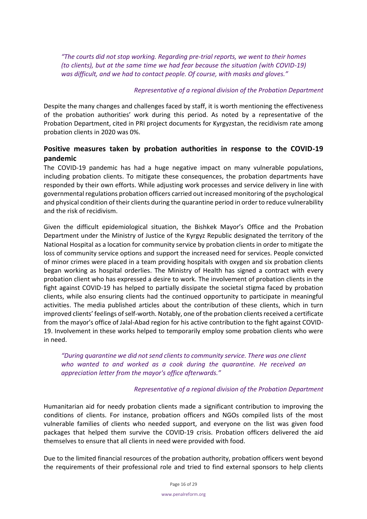*"The courts did not stop working. Regarding pre-trial reports, we went to their homes (to clients), but at the same time we had fear because the situation (with COVID-19) was difficult, and we had to contact people. Of course, with masks and gloves."*

# *Representative of a regional division of the Probation Department*

Despite the many changes and challenges faced by staff, it is worth mentioning the effectiveness of the probation authorities' work during this period. As noted by a representative of the Probation Department, cited in PRI project documents for Kyrgyzstan, the recidivism rate among probation clients in 2020 was 0%.

# <span id="page-15-0"></span>**Positive measures taken by probation authorities in response to the COVID-19 pandemic**

The COVID-19 pandemic has had a huge negative impact on many vulnerable populations, including probation clients. To mitigate these consequences, the probation departments have responded by their own efforts. While adjusting work processes and service delivery in line with governmental regulations probation officers carried out increased monitoring of the psychological and physical condition of their clients during the quarantine period in order to reduce vulnerability and the risk of recidivism.

Given the difficult epidemiological situation, the Bishkek Mayor's Office and the Probation Department under the Ministry of Justice of the Kyrgyz Republic designated the territory of the National Hospital as a location for community service by probation clients in order to mitigate the loss of community service options and support the increased need for services. People convicted of minor crimes were placed in a team providing hospitals with oxygen and six probation clients began working as hospital orderlies. The Ministry of Health has signed a contract with every probation client who has expressed a desire to work. The involvement of probation clients in the fight against COVID-19 has helped to partially dissipate the societal stigma faced by probation clients, while also ensuring clients had the continued opportunity to participate in meaningful activities. The media published articles about the contribution of these clients, which in turn improved clients' feelings of self-worth. Notably, one of the probation clients received a certificate from the mayor's office of Jalal-Abad region for his active contribution to the fight against COVID-19. Involvement in these works helped to temporarily employ some probation clients who were in need.

*"During quarantine we did not send clients to community service. There was one client who wanted to and worked as a cook during the quarantine. He received an appreciation letter from the mayor's office afterwards."*

# *Representative of a regional division of the Probation Department*

Humanitarian aid for needy probation clients made a significant contribution to improving the conditions of clients. For instance, probation officers and NGOs compiled lists of the most vulnerable families of clients who needed support, and everyone on the list was given food packages that helped them survive the COVID-19 crisis. Probation officers delivered the aid themselves to ensure that all clients in need were provided with food.

Due to the limited financial resources of the probation authority, probation officers went beyond the requirements of their professional role and tried to find external sponsors to help clients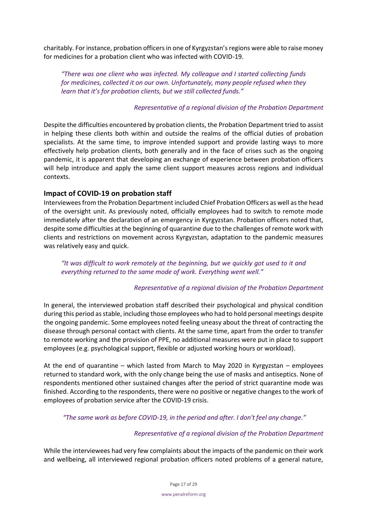charitably. For instance, probation officers in one of Kyrgyzstan's regions were able to raise money for medicines for a probation client who was infected with COVID-19.

*"There was one client who was infected. My colleague and I started collecting funds for medicines, collected it on our own. Unfortunately, many people refused when they learn that it's for probation clients, but we still collected funds."*

#### *Representative of a regional division of the Probation Department*

Despite the difficulties encountered by probation clients, the Probation Department tried to assist in helping these clients both within and outside the realms of the official duties of probation specialists. At the same time, to improve intended support and provide lasting ways to more effectively help probation clients, both generally and in the face of crises such as the ongoing pandemic, it is apparent that developing an exchange of experience between probation officers will help introduce and apply the same client support measures across regions and individual contexts.

# <span id="page-16-0"></span>**Impact of COVID-19 on probation staff**

Interviewees from the Probation Department included Chief Probation Officers as well as the head of the oversight unit. As previously noted, officially employees had to switch to remote mode immediately after the declaration of an emergency in Kyrgyzstan. Probation officers noted that, despite some difficulties at the beginning of quarantine due to the challenges of remote work with clients and restrictions on movement across Kyrgyzstan, adaptation to the pandemic measures was relatively easy and quick.

*"It was difficult to work remotely at the beginning, but we quickly got used to it and everything returned to the same mode of work. Everything went well."*

# *Representative of a regional division of the Probation Department*

In general, the interviewed probation staff described their psychological and physical condition during this period as stable, including those employees who had to hold personal meetings despite the ongoing pandemic. Some employees noted feeling uneasy about the threat of contracting the disease through personal contact with clients. At the same time, apart from the order to transfer to remote working and the provision of PPE, no additional measures were put in place to support employees (e.g. psychological support, flexible or adjusted working hours or workload).

At the end of quarantine – which lasted from March to May 2020 in Kyrgyzstan – employees returned to standard work, with the only change being the use of masks and antiseptics. None of respondents mentioned other sustained changes after the period of strict quarantine mode was finished. According to the respondents, there were no positive or negative changes to the work of employees of probation service after the COVID-19 crisis.

*"The same work as before COVID-19, in the period and after. I don't feel any change."*

# *Representative of a regional division of the Probation Department*

While the interviewees had very few complaints about the impacts of the pandemic on their work and wellbeing, all interviewed regional probation officers noted problems of a general nature,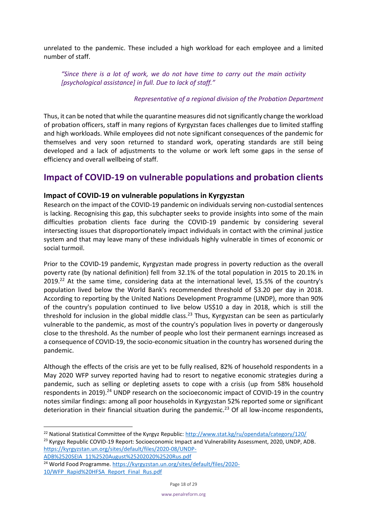unrelated to the pandemic. These included a high workload for each employee and a limited number of staff.

*"Since there is a lot of work, we do not have time to carry out the main activity [psychological assistance] in full. Due to lack of staff."*

# *Representative of a regional division of the Probation Department*

Thus, it can be noted that while the quarantine measures did not significantly change the workload of probation officers, staff in many regions of Kyrgyzstan faces challenges due to limited staffing and high workloads. While employees did not note significant consequences of the pandemic for themselves and very soon returned to standard work, operating standards are still being developed and a lack of adjustments to the volume or work left some gaps in the sense of efficiency and overall wellbeing of staff.

# <span id="page-17-0"></span>**Impact of COVID-19 on vulnerable populations and probation clients**

# <span id="page-17-1"></span>**Impact of COVID-19 on vulnerable populations in Kyrgyzstan**

Research on the impact of the COVID-19 pandemic on individuals serving non-custodial sentences is lacking. Recognising this gap, this subchapter seeks to provide insights into some of the main difficulties probation clients face during the COVID-19 pandemic by considering several intersecting issues that disproportionately impact individuals in contact with the criminal justice system and that may leave many of these individuals highly vulnerable in times of economic or social turmoil.

Prior to the COVID-19 pandemic, Kyrgyzstan made progress in poverty reduction as the overall poverty rate (by national definition) fell from 32.1% of the total population in 2015 to 20.1% in  $2019.<sup>22</sup>$  At the same time, considering data at the international level, 15.5% of the country's population lived below the World Bank's recommended threshold of \$3.20 per day in 2018. According to reporting by the United Nations Development Programme (UNDP), more than 90% of the country's population continued to live below US\$10 a day in 2018, which is still the threshold for inclusion in the global middle class.<sup>23</sup> Thus, Kyrgyzstan can be seen as particularly vulnerable to the pandemic, as most of the country's population lives in poverty or dangerously close to the threshold. As the number of people who lost their permanent earnings increased as a consequence of COVID-19, the socio-economic situation in the country has worsened during the pandemic.

<span id="page-17-2"></span>Although the effects of the crisis are yet to be fully realised, 82% of household respondents in a May 2020 WFP survey reported having had to resort to negative economic strategies during a pandemic, such as selling or depleting assets to cope with a crisis (up from 58% household respondents in 2019).<sup>24</sup> UNDP research on the socioeconomic impact of COVID-19 in the country notes similar findings: among all poor households in Kyrgyzstan 52% reported some or significant deterioration in their financial situation during the pandemic.<sup>[23](#page-17-2)</sup> Of all low-income respondents,

[ADB%2520SEIA\\_11%2520August%25202020%2520Rus.pdf](https://kyrgyzstan.un.org/sites/default/files/2020-08/UNDP-ADB%2520SEIA_11%2520August%25202020%2520Rus.pdf)

<sup>&</sup>lt;sup>22</sup> National Statistical Committee of the Kyrgyz Republic:<http://www.stat.kg/ru/opendata/category/120/> <sup>23</sup> Kyrgyz Republic COVID-19 Report: Socioeconomic Impact and Vulnerability Assessment, 2020, UNDP, ADB. [https://kyrgyzstan.un.org/sites/default/files/2020-08/UNDP-](https://kyrgyzstan.un.org/sites/default/files/2020-08/UNDP-ADB%2520SEIA_11%2520August%25202020%2520Rus.pdf)

<sup>&</sup>lt;sup>24</sup> World Food Programme. [https://kyrgyzstan.un.org/sites/default/files/2020-](https://kyrgyzstan.un.org/sites/default/files/2020-10/WFP_Rapid%20HFSA_Report_Final_Rus.pdf) [10/WFP\\_Rapid%20HFSA\\_Report\\_Final\\_Rus.pdf](https://kyrgyzstan.un.org/sites/default/files/2020-10/WFP_Rapid%20HFSA_Report_Final_Rus.pdf)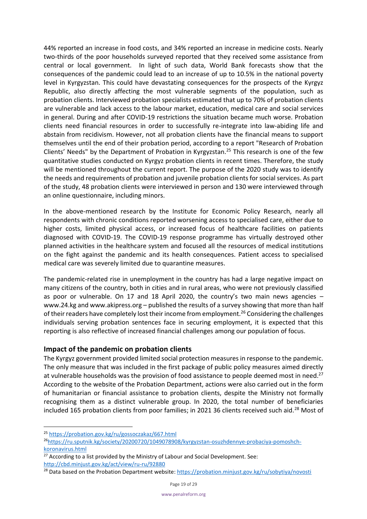44% reported an increase in food costs, and 34% reported an increase in medicine costs. Nearly two-thirds of the poor households surveyed reported that they received some assistance from central or local government. In light of such data, World Bank forecasts show that the consequences of the pandemic could lead to an increase of up to 10.5% in the national poverty level in Kyrgyzstan. This could have devastating consequences for the prospects of the Kyrgyz Republic, also directly affecting the most vulnerable segments of the population, such as probation clients. Interviewed probation specialists estimated that up to 70% of probation clients are vulnerable and lack access to the labour market, education, medical care and social services in general. During and after COVID-19 restrictions the situation became much worse. Probation clients need financial resources in order to successfully re-integrate into law-abiding life and abstain from recidivism. However, not all probation clients have the financial means to support themselves until the end of their probation period, according to a report "Research of Probation Clients' Needs" by the Department of Probation in Kyrgyzstan.<sup>25</sup> This research is one of the few quantitative studies conducted on Kyrgyz probation clients in recent times. Therefore, the study will be mentioned throughout the current report. The purpose of the 2020 study was to identify the needs and requirements of probation and juvenile probation clients for social services. As part of the study, 48 probation clients were interviewed in person and 130 were interviewed through an online questionnaire, including minors.

In the above-mentioned research by the Institute for Economic Policy Research, nearly all respondents with chronic conditions reported worsening access to specialised care, either due to higher costs, limited physical access, or increased focus of healthcare facilities on patients diagnosed with COVID-19. The COVID-19 response programme has virtually destroyed other planned activities in the healthcare system and focused all the resources of medical institutions on the fight against the pandemic and its health consequences. Patient access to specialised medical care was severely limited due to quarantine measures.

The pandemic-related rise in unemployment in the country has had a large negative impact on many citizens of the country, both in cities and in rural areas, who were not previously classified as poor or vulnerable. On 17 and 18 April 2020, the country's two main news agencies  $$ www.24.kg and www.akipress.org – published the results of a survey showing that more than half of their readers have completely lost their income from employment.<sup>26</sup> Considering the challenges individuals serving probation sentences face in securing employment, it is expected that this reporting is also reflective of increased financial challenges among our population of focus.

# <span id="page-18-0"></span>**Impact of the pandemic on probation clients**

The Kyrgyz government provided limited social protection measures in response to the pandemic. The only measure that was included in the first package of public policy measures aimed directly at vulnerable households was the provision of food assistance to people deemed most in need.<sup>27</sup> According to the website of the Probation Department, actions were also carried out in the form of humanitarian or financial assistance to probation clients, despite the Ministry not formally recognising them as a distinct vulnerable group. In 2020, the total number of beneficiaries included 165 probation clients from poor families; in 2021 36 clients received such aid.<sup>28</sup> Most of

<sup>25</sup> <https://probation.gov.kg/ru/gossoczakaz/667.html>

<sup>&</sup>lt;sup>26</sup>[https://ru.sputnik.kg/society/20200720/1049078908/kyrgyzstan-osuzhdennye-probaciya-pomoshch](https://ru.sputnik.kg/society/20200720/1049078908/kyrgyzstan-osuzhdennye-probaciya-pomoshch-koronavirus.html)[koronavirus.html](https://ru.sputnik.kg/society/20200720/1049078908/kyrgyzstan-osuzhdennye-probaciya-pomoshch-koronavirus.html)

 $27$  According to a list provided by the Ministry of Labour and Social Development. See: <http://cbd.minjust.gov.kg/act/view/ru-ru/92880>

<sup>&</sup>lt;sup>28</sup> Data based on the Probation Department website: <https://probation.minjust.gov.kg/ru/sobytiya/novosti>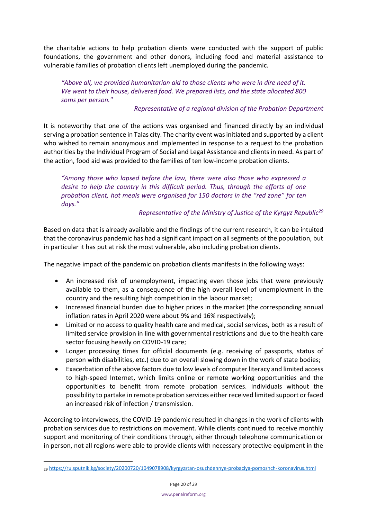the charitable actions to help probation clients were conducted with the support of public foundations, the government and other donors, including food and material assistance to vulnerable families of probation clients left unemployed during the pandemic.

*"Above all, we provided humanitarian aid to those clients who were in dire need of it. We went to their house, delivered food. We prepared lists, and the state allocated 800 soms per person."*

# *Representative of a regional division of the Probation Department*

It is noteworthy that one of the actions was organised and financed directly by an individual serving a probation sentence in Talas city. The charity event was initiated and supported by a client who wished to remain anonymous and implemented in response to a request to the probation authorities by the Individual Program of Social and Legal Assistance and clients in need. As part of the action, food aid was provided to the families of ten low-income probation clients.

*"Among those who lapsed before the law, there were also those who expressed a desire to help the country in this difficult period. Thus, through the efforts of one probation client, hot meals were organised for 150 doctors in the "red zone" for ten days."*

*Representative of the Ministry of Justice of the Kyrgyz Republic<sup>29</sup>*

Based on data that is already available and the findings of the current research, it can be intuited that the coronavirus pandemic has had a significant impact on all segments of the population, but in particular it has put at risk the most vulnerable, also including probation clients.

The negative impact of the pandemic on probation clients manifests in the following ways:

- An increased risk of unemployment, impacting even those jobs that were previously available to them, as a consequence of the high overall level of unemployment in the country and the resulting high competition in the labour market;
- Increased financial burden due to higher prices in the market (the corresponding annual inflation rates in April 2020 were about 9% and 16% respectively);
- Limited or no access to quality health care and medical, social services, both as a result of limited service provision in line with governmental restrictions and due to the health care sector focusing heavily on COVID-19 care;
- Longer processing times for official documents (e.g. receiving of passports, status of person with disabilities, etc.) due to an overall slowing down in the work of state bodies;
- Exacerbation of the above factors due to low levels of computer literacy and limited access to high-speed Internet, which limits online or remote working opportunities and the opportunities to benefit from remote probation services. Individuals without the possibility to partake in remote probation services either received limited support or faced an increased risk of infection / transmission.

According to interviewees, the COVID-19 pandemic resulted in changes in the work of clients with probation services due to restrictions on movement. While clients continued to receive monthly support and monitoring of their conditions through, either through telephone communication or in person, not all regions were able to provide clients with necessary protective equipment in the

<sup>29</sup> <https://ru.sputnik.kg/society/20200720/1049078908/kyrgyzstan-osuzhdennye-probaciya-pomoshch-koronavirus.html>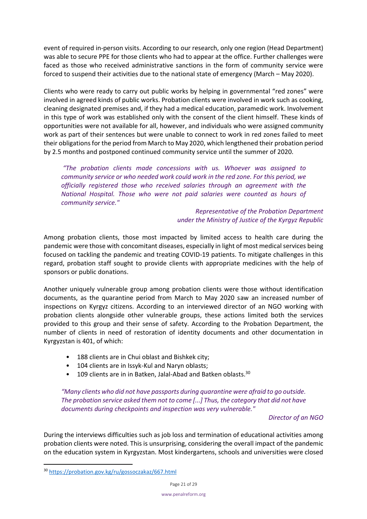event of required in-person visits. According to our research, only one region (Head Department) was able to secure PPE for those clients who had to appear at the office. Further challenges were faced as those who received administrative sanctions in the form of community service were forced to suspend their activities due to the national state of emergency (March – May 2020).

Clients who were ready to carry out public works by helping in governmental "red zones" were involved in agreed kinds of public works. Probation clients were involved in work such as cooking, cleaning designated premises and, if they had a medical education, paramedic work. Involvement in this type of work was established only with the consent of the client himself. These kinds of opportunities were not available for all, however, and individuals who were assigned community work as part of their sentences but were unable to connect to work in red zones failed to meet their obligations for the period from March to May 2020, which lengthened their probation period by 2.5 months and postponed continued community service until the summer of 2020.

*"The probation clients made concessions with us. Whoever was assigned to community service or who needed work could work in the red zone. For this period, we officially registered those who received salaries through an agreement with the National Hospital. Those who were not paid salaries were counted as hours of community service."*

> *Representative of the Probation Department under the Ministry of Justice of the Kyrgyz Republic*

Among probation clients, those most impacted by limited access to health care during the pandemic were those with concomitant diseases, especially in light of most medical services being focused on tackling the pandemic and treating COVID-19 patients. To mitigate challenges in this regard, probation staff sought to provide clients with appropriate medicines with the help of sponsors or public donations.

Another uniquely vulnerable group among probation clients were those without identification documents, as the quarantine period from March to May 2020 saw an increased number of inspections on Kyrgyz citizens. According to an interviewed director of an NGO working with probation clients alongside other vulnerable groups, these actions limited both the services provided to this group and their sense of safety. According to the Probation Department, the number of clients in need of restoration of identity documents and other documentation in Kyrgyzstan is 401, of which:

- 188 clients are in Chui oblast and Bishkek city;
- 104 clients are in Issyk-Kul and Naryn oblasts;
- 109 clients are in in Batken, Jalal-Abad and Batken oblasts.<sup>30</sup>

*"Many clients who did not have passports during quarantine were afraid to go outside. The probation service asked them not to come [...] Thus, the category that did not have documents during checkpoints and inspection was very vulnerable."*

*Director of an NGO*

During the interviews difficulties such as job loss and termination of educational activities among probation clients were noted. This is unsurprising, considering the overall impact of the pandemic on the education system in Kyrgyzstan. Most kindergartens, schools and universities were closed

<sup>30</sup> <https://probation.gov.kg/ru/gossoczakaz/667.html>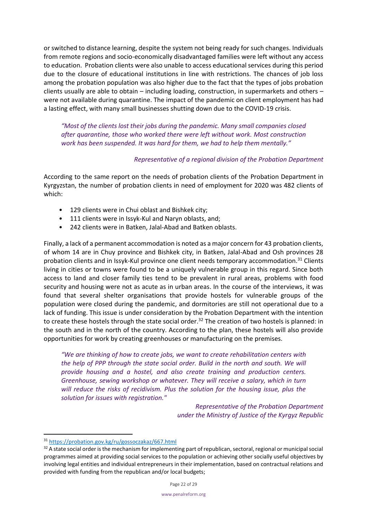or switched to distance learning, despite the system not being ready for such changes. Individuals from remote regions and socio-economically disadvantaged families were left without any access to education. Probation clients were also unable to access educational services during this period due to the closure of educational institutions in line with restrictions. The chances of job loss among the probation population was also higher due to the fact that the types of jobs probation clients usually are able to obtain – including loading, construction, in supermarkets and others – were not available during quarantine. The impact of the pandemic on client employment has had a lasting effect, with many small businesses shutting down due to the COVID-19 crisis.

*"Most of the clients lost their jobs during the pandemic. Many small companies closed after quarantine, those who worked there were left without work. Most construction work has been suspended. It was hard for them, we had to help them mentally."*

# *Representative of a regional division of the Probation Department*

According to the same report on the needs of probation clients of the Probation Department in Kyrgyzstan, the number of probation clients in need of employment for 2020 was 482 clients of which:

- 129 clients were in Chui oblast and Bishkek city;
- 111 clients were in Issyk-Kul and Naryn oblasts, and;
- 242 clients were in Batken, Jalal-Abad and Batken oblasts.

Finally, a lack of a permanent accommodation is noted as a major concern for 43 probation clients, of whom 14 are in Chuy province and Bishkek city, in Batken, Jalal-Abad and Osh provinces 28 probation clients and in Issyk-Kul province one client needs temporary accommodation.<sup>31</sup> Clients living in cities or towns were found to be a uniquely vulnerable group in this regard. Since both access to land and closer family ties tend to be prevalent in rural areas, problems with food security and housing were not as acute as in urban areas. In the course of the interviews, it was found that several shelter organisations that provide hostels for vulnerable groups of the population were closed during the pandemic, and dormitories are still not operational due to a lack of funding. This issue is under consideration by the Probation Department with the intention to create these hostels through the state social order.<sup>32</sup> The creation of two hostels is planned: in the south and in the north of the country. According to the plan, these hostels will also provide opportunities for work by creating greenhouses or manufacturing on the premises.

*"We are thinking of how to create jobs, we want to create rehabilitation centers with the help of PPP through the state social order. Build in the north and south. We will provide housing and a hostel, and also create training and production centers. Greenhouse, sewing workshop or whatever. They will receive a salary, which in turn will reduce the risks of recidivism. Plus the solution for the housing issue, plus the solution for issues with registration."*

> *Representative of the Probation Department under the Ministry of Justice of the Kyrgyz Republic*

<sup>31</sup> <https://probation.gov.kg/ru/gossoczakaz/667.html>

<sup>32</sup> A state social order is the mechanism for implementing part of republican, sectoral, regional or municipal social programmes aimed at providing social services to the population or achieving other socially useful objectives by involving legal entities and individual entrepreneurs in their implementation, based on contractual relations and provided with funding from the republican and/or local budgets;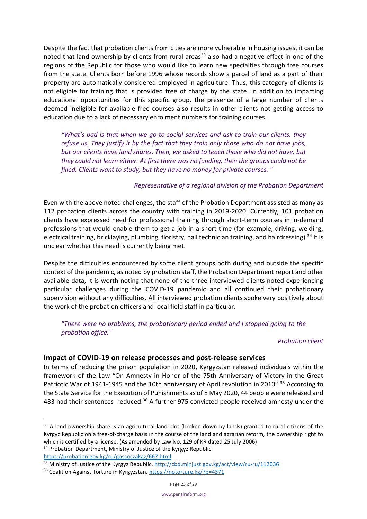Despite the fact that probation clients from cities are more vulnerable in housing issues, it can be noted that land ownership by clients from rural areas<sup>33</sup> also had a negative effect in one of the regions of the Republic for those who would like to learn new specialties through free courses from the state. Clients born before 1996 whose records show a parcel of land as a part of their property are automatically considered employed in agriculture. Thus, this category of clients is not eligible for training that is provided free of charge by the state. In addition to impacting educational opportunities for this specific group, the presence of a large number of clients deemed ineligible for available free courses also results in other clients not getting access to education due to a lack of necessary enrolment numbers for training courses.

*"What's bad is that when we go to social services and ask to train our clients, they refuse us. They justify it by the fact that they train only those who do not have jobs, but our clients have land shares. Then, we asked to teach those who did not have, but they could not learn either. At first there was no funding, then the groups could not be filled. Clients want to study, but they have no money for private courses. "*

# *Representative of a regional division of the Probation Department*

Even with the above noted challenges, the staff of the Probation Department assisted as many as 112 probation clients across the country with training in 2019-2020. Currently, 101 probation clients have expressed need for professional training through short-term courses in in-demand professions that would enable them to get a job in a short time (for example, driving, welding, electrical training, bricklaying, plumbing, floristry, nail technician training, and hairdressing).<sup>34</sup> It is unclear whether this need is currently being met.

Despite the difficulties encountered by some client groups both during and outside the specific context of the pandemic, as noted by probation staff, the Probation Department report and other available data, it is worth noting that none of the three interviewed clients noted experiencing particular challenges during the COVID-19 pandemic and all continued their probationary supervision without any difficulties. All interviewed probation clients spoke very positively about the work of the probation officers and local field staff in particular.

*"There were no problems, the probationary period ended and I stopped going to the probation office."*

#### *Probation client*

#### <span id="page-22-0"></span>**Impact of COVID-19 on release processes and post-release services**

In terms of reducing the prison population in 2020, Kyrgyzstan released individuals within the framework of the Law "On Amnesty in Honor of the 75th Anniversary of Victory in the Great Patriotic War of 1941-1945 and the 10th anniversary of April revolution in 2010".<sup>35</sup> According to the State Service for the Execution of Punishments as of 8 May 2020, 44 people were released and 483 had their sentences reduced.<sup>36</sup> A further 975 convicted people received amnesty under the

<sup>34</sup> Probation Department, Ministry of Justice of the Kyrgyz Republic. <https://probation.gov.kg/ru/gossoczakaz/667.html>

<sup>&</sup>lt;sup>33</sup> A land ownership share is an agricultural land plot (broken down by lands) granted to rural citizens of the Kyrgyz Republic on a free-of-charge basis in the course of the land and agrarian reform, the ownership right to which is certified by a license. (As amended by Law No. 129 of KR dated 25 July 2006)

<sup>&</sup>lt;sup>35</sup> Ministry of Justice of the Kyrgyz Republic[. http://cbd.minjust.gov.kg/act/view/ru-ru/112036](http://cbd.minjust.gov.kg/act/view/ru-ru/112036)

<sup>&</sup>lt;sup>36</sup> Coalition Against Torture in Kyrgyzstan.<https://notorture.kg/?p=4371>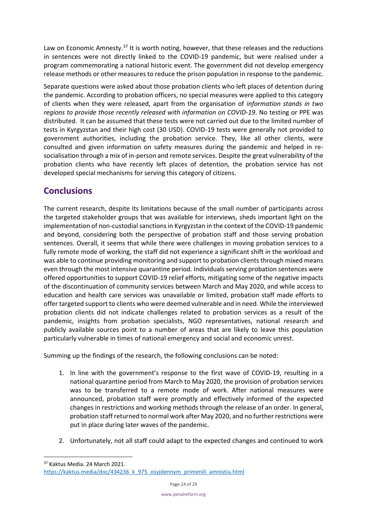Law on Economic Amnesty.<sup>37</sup> It is worth noting, however, that these releases and the reductions in sentences were not directly linked to the COVID-19 pandemic, but were realised under a program commemorating a national historic event. The government did not develop emergency release methods or other measures to reduce the prison population in response to the pandemic.

Separate questions were asked about those probation clients who left places of detention during the pandemic. According to probation officers, no special measures were applied to this category of clients when they were released, apart from the organisation of *information stands in two regions to provide those recently released with information on COVID-19*. No testing or PPE was distributed. It can be assumed that these tests were not carried out due to the limited number of tests in Kyrgyzstan and their high cost (30 USD). COVID-19 tests were generally not provided to government authorities, including the probation service. They, like all other clients, were consulted and given information on safety measures during the pandemic and helped in resocialisation through a mix of in-person and remote services. Despite the great vulnerability of the probation clients who have recently left places of detention, the probation service has not developed special mechanisms for serving this category of citizens.

# <span id="page-23-0"></span>**Conclusions**

The current research, despite its limitations because of the small number of participants across the targeted stakeholder groups that was available for interviews, sheds important light on the implementation of non-custodial sanctions in Kyrgyzstan in the context of the COVID-19 pandemic and beyond, considering both the perspective of probation staff and those serving probation sentences. Overall, it seems that while there were challenges in moving probation services to a fully remote mode of working, the staff did not experience a significant shift in the workload and was able to continue providing monitoring and support to probation clients through mixed means even through the most intensive quarantine period. Individuals serving probation sentences were offered opportunities to support COVID-19 relief efforts, mitigating some of the negative impacts of the discontinuation of community services between March and May 2020, and while access to education and health care services was unavailable or limited, probation staff made efforts to offer targeted support to clients who were deemed vulnerable and in need. While the interviewed probation clients did not indicate challenges related to probation services as a result of the pandemic, insights from probation specialists, NGO representatives, national research and publicly available sources point to a number of areas that are likely to leave this population particularly vulnerable in times of national emergency and social and economic unrest.

Summing up the findings of the research, the following conclusions can be noted:

- 1. In line with the government's response to the first wave of COVID-19, resulting in a national quarantine period from March to May 2020, the provision of probation services was to be transferred to a remote mode of work. After national measures were announced, probation staff were promptly and effectively informed of the expected changes in restrictions and working methods through the release of an order. In general, probation staff returned to normal work after May 2020, and no further restrictions were put in place during later waves of the pandemic.
- 2. Unfortunately, not all staff could adapt to the expected changes and continued to work

<sup>37</sup> Kaktus Media. 24 March 2021.

[https://kaktus.media/doc/434236\\_k\\_975\\_osyjdennym\\_primenili\\_amnistiu.html](https://kaktus.media/doc/434236_k_975_osyjdennym_primenili_amnistiu.html)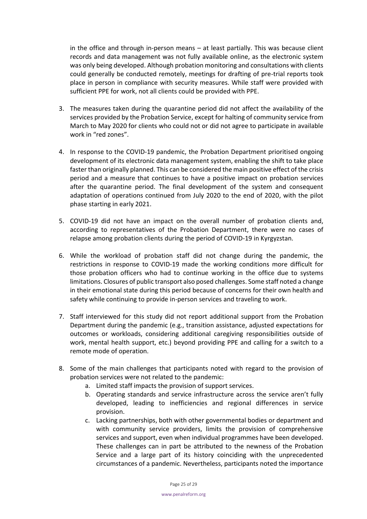in the office and through in-person means – at least partially. This was because client records and data management was not fully available online, as the electronic system was only being developed. Although probation monitoring and consultations with clients could generally be conducted remotely, meetings for drafting of pre-trial reports took place in person in compliance with security measures. While staff were provided with sufficient PPE for work, not all clients could be provided with PPE.

- 3. The measures taken during the quarantine period did not affect the availability of the services provided by the Probation Service, except for halting of community service from March to May 2020 for clients who could not or did not agree to participate in available work in "red zones".
- 4. In response to the COVID-19 pandemic, the Probation Department prioritised ongoing development of its electronic data management system, enabling the shift to take place faster than originally planned. This can be considered the main positive effect of the crisis period and a measure that continues to have a positive impact on probation services after the quarantine period. The final development of the system and consequent adaptation of operations continued from July 2020 to the end of 2020, with the pilot phase starting in early 2021.
- 5. COVID-19 did not have an impact on the overall number of probation clients and, according to representatives of the Probation Department, there were no cases of relapse among probation clients during the period of COVID-19 in Kyrgyzstan.
- 6. While the workload of probation staff did not change during the pandemic, the restrictions in response to COVID-19 made the working conditions more difficult for those probation officers who had to continue working in the office due to systems limitations. Closures of public transport also posed challenges. Some staff noted a change in their emotional state during this period because of concerns for their own health and safety while continuing to provide in-person services and traveling to work.
- 7. Staff interviewed for this study did not report additional support from the Probation Department during the pandemic (e.g., transition assistance, adjusted expectations for outcomes or workloads, considering additional caregiving responsibilities outside of work, mental health support, etc.) beyond providing PPE and calling for a switch to a remote mode of operation.
- 8. Some of the main challenges that participants noted with regard to the provision of probation services were not related to the pandemic:
	- a. Limited staff impacts the provision of support services.
	- b. Operating standards and service infrastructure across the service aren't fully developed, leading to inefficiencies and regional differences in service provision.
	- c. Lacking partnerships, both with other governmental bodies or department and with community service providers, limits the provision of comprehensive services and support, even when individual programmes have been developed. These challenges can in part be attributed to the newness of the Probation Service and a large part of its history coinciding with the unprecedented circumstances of a pandemic. Nevertheless, participants noted the importance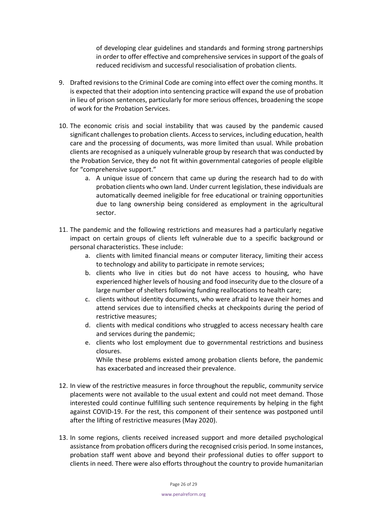of developing clear guidelines and standards and forming strong partnerships in order to offer effective and comprehensive services in support of the goals of reduced recidivism and successful resocialisation of probation clients.

- 9. Drafted revisions to the Criminal Code are coming into effect over the coming months. It is expected that their adoption into sentencing practice will expand the use of probation in lieu of prison sentences, particularly for more serious offences, broadening the scope of work for the Probation Services.
- 10. The economic crisis and social instability that was caused by the pandemic caused significant challenges to probation clients. Access to services, including education, health care and the processing of documents, was more limited than usual. While probation clients are recognised as a uniquely vulnerable group by research that was conducted by the Probation Service, they do not fit within governmental categories of people eligible for "comprehensive support."
	- a. A unique issue of concern that came up during the research had to do with probation clients who own land. Under current legislation, these individuals are automatically deemed ineligible for free educational or training opportunities due to lang ownership being considered as employment in the agricultural sector.
- 11. The pandemic and the following restrictions and measures had a particularly negative impact on certain groups of clients left vulnerable due to a specific background or personal characteristics. These include:
	- a. clients with limited financial means or computer literacy, limiting their access to technology and ability to participate in remote services;
	- b. clients who live in cities but do not have access to housing, who have experienced higher levels of housing and food insecurity due to the closure of a large number of shelters following funding reallocations to health care;
	- c. clients without identity documents, who were afraid to leave their homes and attend services due to intensified checks at checkpoints during the period of restrictive measures;
	- d. clients with medical conditions who struggled to access necessary health care and services during the pandemic;
	- e. clients who lost employment due to governmental restrictions and business closures.

While these problems existed among probation clients before, the pandemic has exacerbated and increased their prevalence.

- 12. In view of the restrictive measures in force throughout the republic, community service placements were not available to the usual extent and could not meet demand. Those interested could continue fulfilling such sentence requirements by helping in the fight against COVID-19. For the rest, this component of their sentence was postponed until after the lifting of restrictive measures (May 2020).
- 13. In some regions, clients received increased support and more detailed psychological assistance from probation officers during the recognised crisis period. In some instances, probation staff went above and beyond their professional duties to offer support to clients in need. There were also efforts throughout the country to provide humanitarian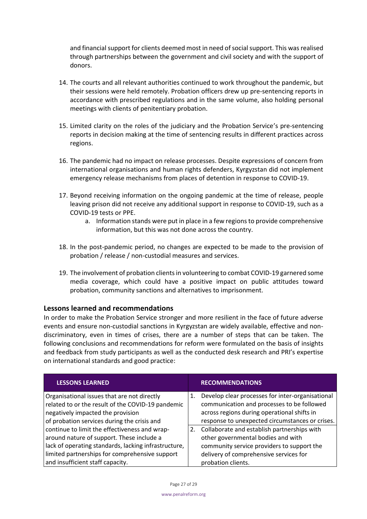and financial support for clients deemed most in need of social support. This was realised through partnerships between the government and civil society and with the support of donors.

- 14. The courts and all relevant authorities continued to work throughout the pandemic, but their sessions were held remotely. Probation officers drew up pre-sentencing reports in accordance with prescribed regulations and in the same volume, also holding personal meetings with clients of penitentiary probation.
- 15. Limited clarity on the roles of the judiciary and the Probation Service's pre-sentencing reports in decision making at the time of sentencing results in different practices across regions.
- 16. The pandemic had no impact on release processes. Despite expressions of concern from international organisations and human rights defenders, Kyrgyzstan did not implement emergency release mechanisms from places of detention in response to COVID-19.
- 17. Beyond receiving information on the ongoing pandemic at the time of release, people leaving prison did not receive any additional support in response to COVID-19, such as a COVID-19 tests or PPE.
	- a. Information stands were put in place in a few regions to provide comprehensive information, but this was not done across the country.
- 18. In the post-pandemic period, no changes are expected to be made to the provision of probation / release / non-custodial measures and services.
- 19. The involvement of probation clients in volunteering to combat COVID-19 garnered some media coverage, which could have a positive impact on public attitudes toward probation, community sanctions and alternatives to imprisonment.

# <span id="page-26-0"></span>**Lessons learned and recommendations**

In order to make the Probation Service stronger and more resilient in the face of future adverse events and ensure non-custodial sanctions in Kyrgyzstan are widely available, effective and nondiscriminatory, even in times of crises, there are a number of steps that can be taken. The following conclusions and recommendations for reform were formulated on the basis of insights and feedback from study participants as well as the conducted desk research and PRI's expertise on international standards and good practice:

| <b>LESSONS LEARNED</b>                               |    | <b>RECOMMENDATIONS</b>                           |
|------------------------------------------------------|----|--------------------------------------------------|
| Organisational issues that are not directly          | 1. | Develop clear processes for inter-organisational |
| related to or the result of the COVID-19 pandemic    |    | communication and processes to be followed       |
| negatively impacted the provision                    |    | across regions during operational shifts in      |
| of probation services during the crisis and          |    | response to unexpected circumstances or crises.  |
| continue to limit the effectiveness and wrap-        | 2. | Collaborate and establish partnerships with      |
| around nature of support. These include a            |    | other governmental bodies and with               |
| lack of operating standards, lacking infrastructure, |    | community service providers to support the       |
| limited partnerships for comprehensive support       |    | delivery of comprehensive services for           |
| and insufficient staff capacity.                     |    | probation clients.                               |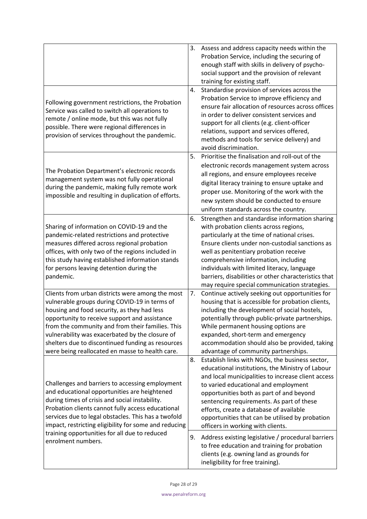|                                                                                                                                                                                                                                                                                                                                                                                                                  | 3. | Assess and address capacity needs within the<br>Probation Service, including the securing of<br>enough staff with skills in delivery of psycho-<br>social support and the provision of relevant<br>training for existing staff.                                                                                                                                                                                                       |
|------------------------------------------------------------------------------------------------------------------------------------------------------------------------------------------------------------------------------------------------------------------------------------------------------------------------------------------------------------------------------------------------------------------|----|---------------------------------------------------------------------------------------------------------------------------------------------------------------------------------------------------------------------------------------------------------------------------------------------------------------------------------------------------------------------------------------------------------------------------------------|
| Following government restrictions, the Probation<br>Service was called to switch all operations to<br>remote / online mode, but this was not fully<br>possible. There were regional differences in<br>provision of services throughout the pandemic.                                                                                                                                                             | 4. | Standardise provision of services across the<br>Probation Service to improve efficiency and<br>ensure fair allocation of resources across offices<br>in order to deliver consistent services and<br>support for all clients (e.g. client-officer<br>relations, support and services offered,<br>methods and tools for service delivery) and<br>avoid discrimination.                                                                  |
| The Probation Department's electronic records<br>management system was not fully operational<br>during the pandemic, making fully remote work<br>impossible and resulting in duplication of efforts.                                                                                                                                                                                                             | 5. | Prioritise the finalisation and roll-out of the<br>electronic records management system across<br>all regions, and ensure employees receive<br>digital literacy training to ensure uptake and<br>proper use. Monitoring of the work with the<br>new system should be conducted to ensure<br>uniform standards across the country.                                                                                                     |
| Sharing of information on COVID-19 and the<br>pandemic-related restrictions and protective<br>measures differed across regional probation<br>offices, with only two of the regions included in<br>this study having established information stands<br>for persons leaving detention during the<br>pandemic.                                                                                                      | 6. | Strengthen and standardise information sharing<br>with probation clients across regions,<br>particularly at the time of national crises.<br>Ensure clients under non-custodial sanctions as<br>well as penitentiary probation receive<br>comprehensive information, including<br>individuals with limited literacy, language<br>barriers, disabilities or other characteristics that<br>may require special communication strategies. |
| Clients from urban districts were among the most<br>vulnerable groups during COVID-19 in terms of<br>housing and food security, as they had less<br>opportunity to receive support and assistance<br>from the community and from their families. This<br>vulnerability was exacerbated by the closure of<br>shelters due to discontinued funding as resources<br>were being reallocated en masse to health care. | 7. | Continue actively seeking out opportunities for<br>housing that is accessible for probation clients,<br>including the development of social hostels,<br>potentially through public-private partnerships.<br>While permanent housing options are<br>expanded, short-term and emergency<br>accommodation should also be provided, taking<br>advantage of community partnerships.                                                        |
| Challenges and barriers to accessing employment<br>and educational opportunities are heightened<br>during times of crisis and social instability.<br>Probation clients cannot fully access educational<br>services due to legal obstacles. This has a twofold<br>impact, restricting eligibility for some and reducing                                                                                           | 8. | Establish links with NGOs, the business sector,<br>educational institutions, the Ministry of Labour<br>and local municipalities to increase client access<br>to varied educational and employment<br>opportunities both as part of and beyond<br>sentencing requirements. As part of these<br>efforts, create a database of available<br>opportunities that can be utilised by probation<br>officers in working with clients.         |
| training opportunities for all due to reduced<br>enrolment numbers.                                                                                                                                                                                                                                                                                                                                              | 9. | Address existing legislative / procedural barriers<br>to free education and training for probation<br>clients (e.g. owning land as grounds for<br>ineligibility for free training).                                                                                                                                                                                                                                                   |